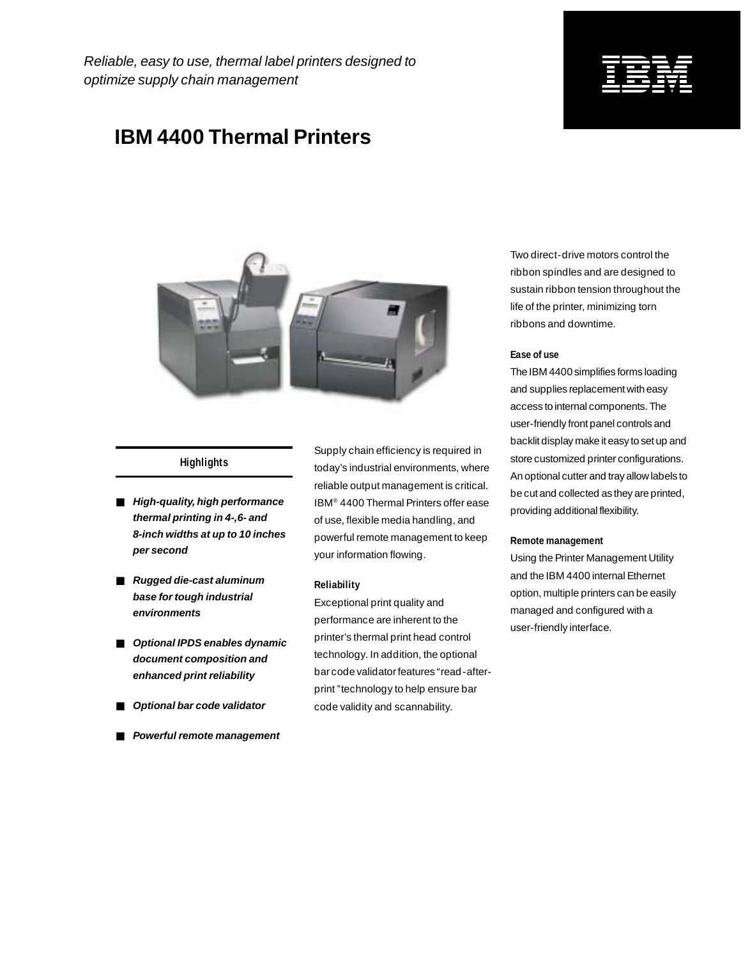Reliable, easy to use, thermal label printers designed to optimize supply chain management

### **IBM 4400 Thermal Printers**



#### **Highlights**

- **High-quality, high performance thermal printing in 4-,6- and 8-inch widths at up to 10 inches per second**
- **Rugged die-cast aluminum base for tough industrial environments**
- **Optional IPDS enables dynamic document composition and enhanced print reliability**
- **Optional bar code validator**
- **Powerful remote management**

Supply chain efficiency is required in today's industrial environments, where reliable output management is critical. IBM® 4400 Thermal Printers offer ease of use, flexible media handling, and powerful remote management to keep your information flowing.

#### **Reliability**

Exceptional print quality and performance are inherent to the printer's thermal print head control technology. In addition, the optional bar code validator features "read-afterprint "technology to help ensure bar code validity and scannability.

Two direct-drive motors control the ribbon spindles and are designed to sustain ribbon tension throughout the life of the printer, minimizing torn ribbons and downtime.

#### **Ease of use**

The IBM 4400 simplifies forms loading and supplies replacement with easy access to internal components. The user-friendly front panel controls and backlit display make it easy to set up and store customized printer configurations. An optional cutter and tray allow labels to be cut and collected as they are printed, providing additional flexibility.

#### **Remote management**

Using the Printer Management Utility and the IBM 4400 internal Ethernet option, multiple printers can be easily managed and configured with a user-friendly interface.

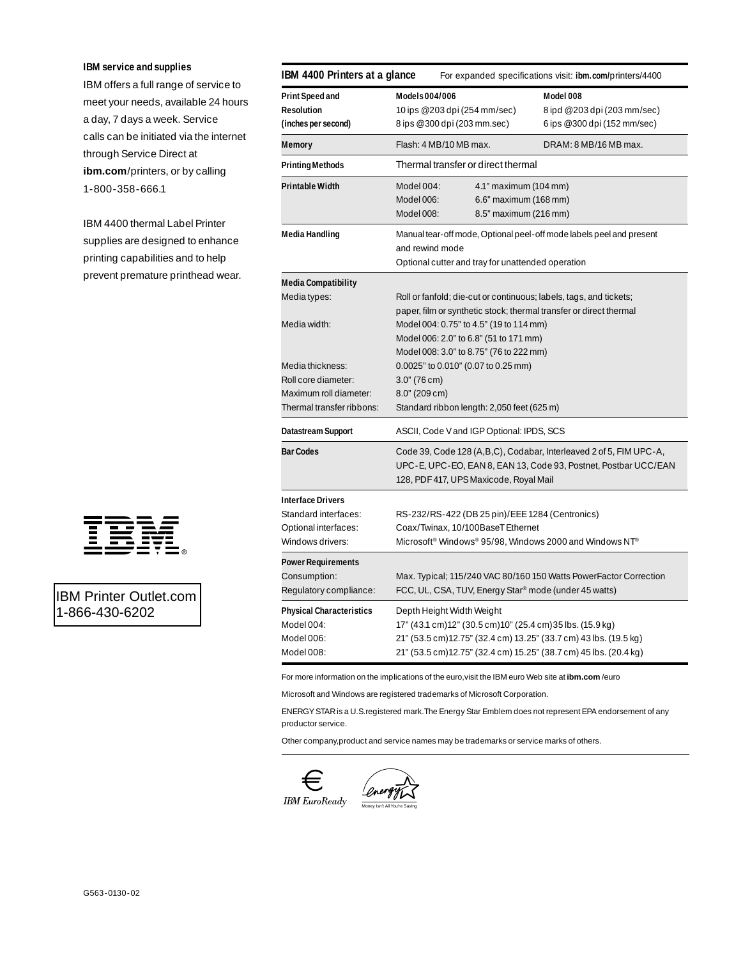#### **IBM service and supplies**

IBM offers a full range of service to meet your needs, available 24 hours a day, 7 days a week. Service calls can be initiated via the internet through Service Direct at **ibm.com**/printers, or by calling 1-800-358-666.1

IBM 4400 thermal Label Printer supplies are designed to enhance printing capabilities and to help prevent premature printhead wear.



### IBM Printer Outlet.com 1-866-430-6202

| IBM 4400 Printers at a glance<br>For expanded specifications visit: <b>ibm.com/</b> printers/4400 |                                                                                                                                                                                                                                 |                                                                           |  |
|---------------------------------------------------------------------------------------------------|---------------------------------------------------------------------------------------------------------------------------------------------------------------------------------------------------------------------------------|---------------------------------------------------------------------------|--|
| Print Speed and<br>Resolution<br>(inches per second)                                              | Models 004/006<br>10 ips @ 203 dpi (254 mm/sec)<br>8 ips @ 300 dpi (203 mm.sec)                                                                                                                                                 | Model 008<br>8 ipd @ 203 dpi (203 mm/sec)<br>6 ips @ 300 dpi (152 mm/sec) |  |
| Memory                                                                                            | Flash: 4 MB/10 MB max.                                                                                                                                                                                                          | DRAM: 8 MB/16 MB max.                                                     |  |
| <b>Printing Methods</b>                                                                           | Thermal transfer or direct thermal                                                                                                                                                                                              |                                                                           |  |
| Printable Width                                                                                   | Model 004:<br>4.1" maximum (104 mm)<br>Model 006:<br>6.6" maximum (168 mm)<br>Model 008:<br>8.5" maximum (216 mm)                                                                                                               |                                                                           |  |
| Media Handling                                                                                    | Manual tear-off mode, Optional peel-off mode labels peel and present<br>and rewind mode<br>Optional cutter and tray for unattended operation                                                                                    |                                                                           |  |
| Media Compatibility<br>Media types:                                                               | Roll or fanfold; die-cut or continuous; labels, tags, and tickets;<br>paper, film or synthetic stock; thermal transfer or direct thermal                                                                                        |                                                                           |  |
| Media width:                                                                                      | Model 004: 0.75" to 4.5" (19 to 114 mm)<br>Model 006: 2.0" to 6.8" (51 to 171 mm)<br>Model 008: 3.0" to 8.75" (76 to 222 mm)                                                                                                    |                                                                           |  |
| Media thickness:                                                                                  | 0.0025" to 0.010" (0.07 to 0.25 mm)                                                                                                                                                                                             |                                                                           |  |
| Roll core diameter:<br>Maximum roll diameter:                                                     | $3.0^{\prime\prime}$ (76 cm)<br>8.0" (209 cm)                                                                                                                                                                                   |                                                                           |  |
| Thermal transfer ribbons:                                                                         | Standard ribbon length: 2,050 feet (625 m)                                                                                                                                                                                      |                                                                           |  |
| Datastream Support                                                                                | ASCII, Code V and IGP Optional: IPDS, SCS                                                                                                                                                                                       |                                                                           |  |
| <b>Bar Codes</b>                                                                                  | Code 39, Code 128 (A, B, C), Codabar, Interleaved 2 of 5, FIM UPC-A,<br>UPC-E, UPC-EO, EAN 8, EAN 13, Code 93, Postnet, Postbar UCC/EAN<br>128, PDF 417, UPS Maxicode, Royal Mail                                               |                                                                           |  |
| <b>Interface Drivers</b><br>Standard interfaces:<br>Optional interfaces:<br>Windows drivers:      | RS-232/RS-422 (DB 25 pin)/EEE 1284 (Centronics)<br>Coax/Twinax, 10/100BaseT Ethernet<br>Microsoft <sup>®</sup> Windows® 95/98, Windows 2000 and Windows NT®                                                                     |                                                                           |  |
| Power Requirements<br>Consumption:<br>Regulatory compliance:                                      | Max. Typical; 115/240 VAC 80/160 150 Watts PowerFactor Correction<br>FCC, UL, CSA, TUV, Energy Star <sup>®</sup> mode (under 45 watts)                                                                                          |                                                                           |  |
| Physical Characteristics<br>Model 004:<br>Model 006:<br>Model 008:                                | Depth Height Width Weight<br>17" (43.1 cm)12" (30.5 cm)10" (25.4 cm) 35 lbs. (15.9 kg)<br>21" (53.5 cm) 12.75" (32.4 cm) 13.25" (33.7 cm) 43 lbs. (19.5 kg)<br>21" (53.5 cm)12.75" (32.4 cm) 15.25" (38.7 cm) 45 lbs. (20.4 kg) |                                                                           |  |

For more information on the implications of the euro,visit the IBM euro Web site at **ibm.com** /euro

Microsoft and Windows are registered trademarks of Microsoft Corporation.

ENERGY STAR is a U.S.registered mark.The Energy Star Emblem does not represent EPA endorsement of any productor service.

Other company,product and service names may be trademarks or service marks of others.